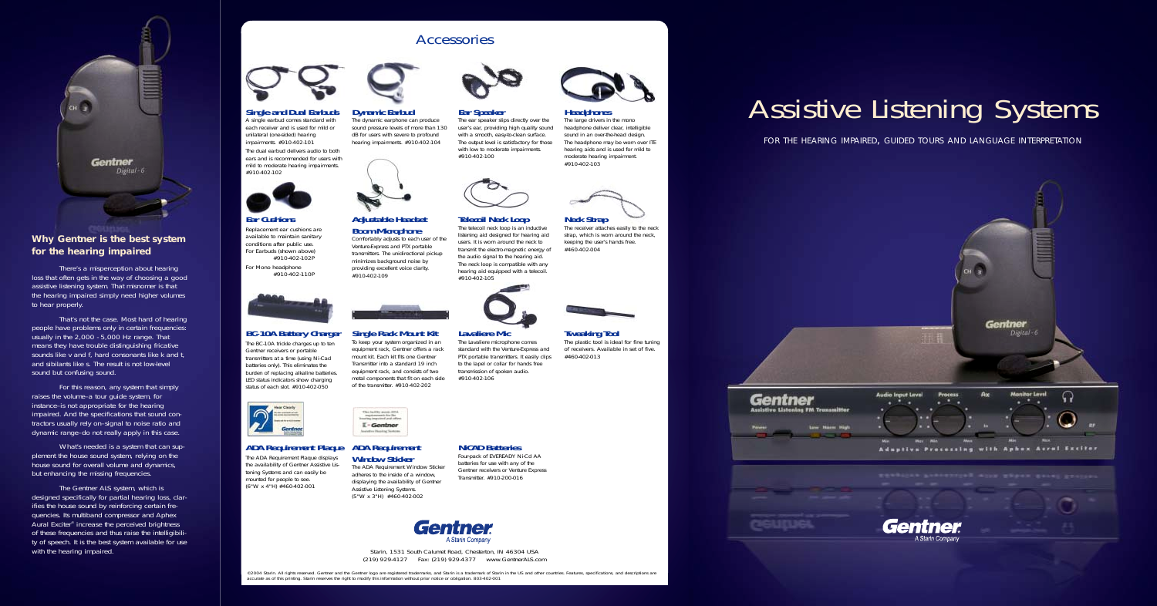FOR THE HEARING IMPAIRED, GUIDED TOURS AND LANGUAGE INTERPRETATION



# Assistive Listening Systems



## **Why Gentner is the best system for the hearing impaired**

There's a misperception about hearing loss that often gets in the way of choosing a good assistive listening system. That misnomer is that the hearing impaired simply need higher volumes to hear properly.

That's not the case. Most hard of hearing people have problems only in certain frequencies: usually in the 2,000 - 5,000 Hz range. That means they have trouble distinguishing fricative sounds like *<sup>v</sup>* and *f*, hard consonants like *k* and *t*, and sibilants like *s*. The result is not low-level sound but confusing sound.

What's needed is a system that can supplement the house sound system, relying on the house sound for overall volume and dynamics, but enhancing the missing frequencies.

For this reason, any system that simply raises the volume–a tour guide system, for instance–is not appropriate for the hearing impaired. And the specifications that sound contractors usually rely on–signal to noise ratio and dynamic range–do not really apply in this case.

The Gentner ALS system, which is designed specifically for partial hearing loss, clarifies the house sound by reinforcing certain frequencies. Its multiband compressor and Aphex Aural Exciter® increase the perceived brightness of these frequencies and thus raise the intelligibility of speech. It is the best system available for use with the hearing impaired.



Accessories

## **BC-10A Battery Charger**

The BC-10A trickle charges up to ten Gentner receivers or portable transmitters at a time (using Ni-Cad batteries only). This eliminates the burden of replacing alkaline batteries. LED status indicators show charging status of each slot. #910-402-050



## **Single Rack Mount Kit**

The large drivers in the mono headphone deliver clear, intelligible sound in an over-the-head design. The headphone may be worn over ITE hearing aids and is used for mild to moderate hearing impairment. #910-402-103

To keep your system organized in an equipment rack, Gentner offers a rack mount kit. Each kit fits one Gentner Transmitter into a standard 19 inch equipment rack, and consists of two metal components that fit on each side of the transmitter. #910-402-202

This facility provis Attni<br>regularization for the  $T-Gonthor$ Assistive Hobing Scotcas

### **Lavaliere Mic**

The Lavaliere microphone comes standard with the Venture-Express and PTX portable transmitters. It easily clips to the lapel or collar for hands free transmission of spoken audio. #910-402-106

### **Tweaking Tool** The plastic tool is ideal for fine tuning of receivers. Available in set of five.

The receiver attaches easily to the neck strap, which is worn around the neck, keeping the user's hands free. #460-402-004



#460-402-013

## **ADA Requirement Plaque**

The ADA Requirement Plaque displays the availability of Gentner Assistive Listening Systems and can easily be mounted for people to see. (6"W x 4"H) #460-402-001



©2004 Starin. All rights reserved. Gentner and the Gentner logo are registered trademarks, and Starin is a trademark of Starin in the US and other countries. Features, specifications, and descriptions are accurate as of this printing. Starin reserves the right to modify this information without prior notice or obligation. 803-402-001



## **ADA Requirement Window Sticker**

The ADA Requirement Window Sticker adheres to the inside of a window, displaying the availability of Gentner Assistive Listening Systems. (5"W x 3"H) #460-402-002



**NiCAD Batteries**

Four-pack of EVEREADY Ni-Cd AA batteries for use with any of the Gentner receivers or Venture Express Transmitter. #910-200-016



### **Single and Dual Earbuds**

A single earbud comes standard with each receiver and is used for mild or unilateral (one-sided) hearing impairments. #910-402-101

The dual earbud delivers audio to both ears and is recommended for users with mild to moderate hearing impairments. #910-402-102



### **Dynamic Earbud**

The dynamic earphone can produce sound pressure levels of more than 130 dB for users with severe to profound hearing impairments. #910-402-104



## **Ear Speaker**

The ear speaker slips directly over the user's ear, providing high quality sound with a smooth, easy-to-clean surface. The output level is satisfactory for those with low to moderate impairments. #910-402-100



## **Headphones**

**Ear Cushions** Replacement ear cushions are

available to maintain sanitary conditions after public use. For Earbuds (shown above) #910-402-102P

For Mono headphone #910-402-110P



## **Boom Microphone**



Venture-Express and PTX portable transmitters. The unidirectional pickup minimizes background noise by providing excellent voice clarity. #910-402-109



## **Telecoil Neck Loop**

The telecoil neck loop is an inductive listening aid designed for hearing aid users. It is worn around the neck to transmit the electro-magnetic energy of the audio signal to the hearing aid. The neck loop is compatible with any hearing aid equipped with a telecoil.







*Starin, 1531 South Calumet Road, Chesterton, IN 46304 USA (219) 929-4127 Fax: (219) 929-4377 www.GentnerALS.com*